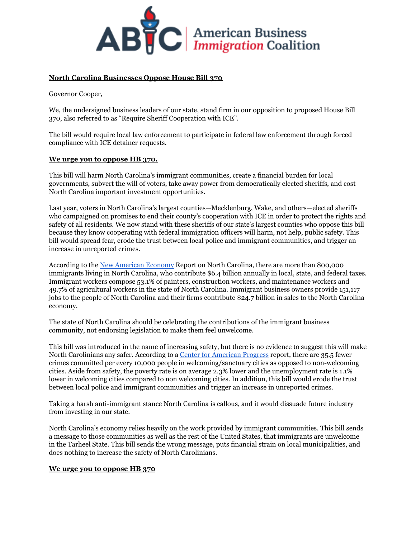

## **North Carolina Businesses Oppose House Bill 370**

Governor Cooper,

We, the undersigned business leaders of our state, stand firm in our opposition to proposed House Bill 370, also referred to as "Require Sheriff Cooperation with ICE".

The bill would require local law enforcement to participate in federal law enforcement through forced compliance with ICE detainer requests.

## **We urge you to oppose HB 370.**

This bill will harm North Carolina's immigrant communities, create a financial burden for local governments, subvert the will of voters, take away power from democratically elected sheriffs, and cost North Carolina important investment opportunities.

Last year, voters in North Carolina's largest counties—Mecklenburg, Wake, and others—elected sheriffs who campaigned on promises to end their county's cooperation with ICE in order to protect the rights and safety of all residents. We now stand with these sheriffs of our state's largest counties who oppose this bill because they know cooperating with federal immigration officers will harm, not help, public safety. This bill would spread fear, erode the trust between local police and immigrant communities, and trigger an increase in unreported crimes.

According to the New [American](https://www.newamericaneconomy.org/locations/north-carolina/) Economy Report on North Carolina, there are more than 800,000 immigrants living in North Carolina, who contribute \$6.4 billion annually in local, state, and federal taxes. Immigrant workers compose 53.1% of painters, construction workers, and maintenance workers and 49.7% of agricultural workers in the state of North Carolina. Immigrant business owners provide 151,117 jobs to the people of North Carolina and their firms contribute \$24.7 billion in sales to the North Carolina economy.

The state of North Carolina should be celebrating the contributions of the immigrant business community, not endorsing legislation to make them feel unwelcome.

This bill was introduced in the name of increasing safety, but there is no evidence to suggest this will make North Carolinians any safer. According to a Center for [American](https://www.americanprogress.org/issues/immigration/reports/2017/01/26/297366/the-effects-of-sanctuary-policies-on-crime-and-the-economy/) Progress report, there are 35.5 fewer crimes committed per every 10,000 people in welcoming/sanctuary cities as opposed to non-welcoming cities. Aside from safety, the poverty rate is on average 2.3% lower and the unemployment rate is 1.1% lower in welcoming cities compared to non welcoming cities. In addition, this bill would erode the trust between local police and immigrant communities and trigger an increase in unreported crimes.

Taking a harsh anti-immigrant stance North Carolina is callous, and it would dissuade future industry from investing in our state.

North Carolina's economy relies heavily on the work provided by immigrant communities. This bill sends a message to those communities as well as the rest of the United States, that immigrants are unwelcome in the Tarheel State. This bill sends the wrong message, puts financial strain on local municipalities, and does nothing to increase the safety of North Carolinians.

## **We urge you to oppose HB 370**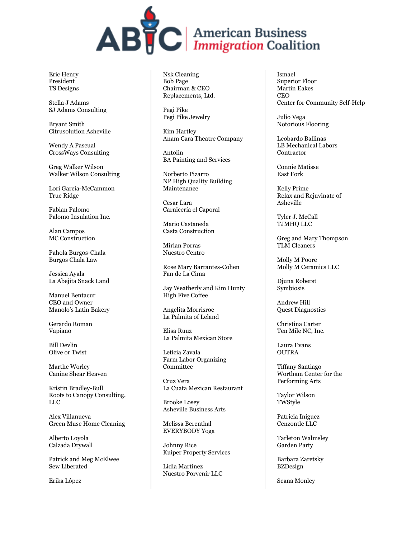

Eric Henry President TS Designs

Stella J Adams SJ Adams Consulting

Bryant Smith Citrusolution Asheville

Wendy A Pascual CrossWays Consulting

Greg Walker Wilson Walker Wilson Consulting

Lori Garcia-McCammon True Ridge

Fabian Palomo Palomo Insulation Inc.

Alan Campos MC Construction

Pahola Burgos-Chala Burgos Chala Law

Jessica Ayala La Abejita Snack Land

Manuel Bentacur CEO and Owner Manolo's Latin Bakery

Gerardo Roman Vapiano

Bill Devlin Olive or Twist

Marthe Worley Canine Shear Heaven

Kristin Bradley-Bull Roots to Canopy Consulting, LLC

Alex Villanueva Green Muse Home Cleaning

Alberto Loyola Calzada Drywall

Patrick and Meg McElwee Sew Liberated

Erika López

Nsk Cleaning Bob Page Chairman & CEO Replacements, Ltd.

Pegi Pike Pegi Pike Jewelry

Kim Hartley Anam Cara Theatre Company

Antolin BA Painting and Services

Norberto Pizarro NP High Quality Building Maintenance

Cesar Lara Carnicería el Caporal

Mario Castaneda Casta Construction

Mirian Porras Nuestro Centro

Rose Mary Barrantes-Cohen Fan de La Cima

Jay Weatherly and Kim Hunty High Five Coffee

Angelita Morrisroe La Palmita of Leland

Elisa Ruuz La Palmita Mexican Store

Leticia Zavala Farm Labor Organizing Committee

Cruz Vera La Cuata Mexican Restaurant

Brooke Losey Asheville Business Arts

Melissa Berenthal EVERYBODY Yoga

Johnny Rice Kuiper Property Services

Lidia Martinez Nuestro Porvenir LLC

Ismael Superior Floor Martin Eakes **CEO** Center for Community Self-Help

Julio Vega Notorious Flooring

Leobardo Ballinas LB Mechanical Labors **Contractor** 

Connie Matisse East Fork

Kelly Prime Relax and Rejuvinate of Asheville

Tyler J. McCall TJMHQ LLC

Greg and Mary Thompson TLM Cleaners

Molly M Poore Molly M Ceramics LLC

Djuna Roberst Symbiosis

Andrew Hill Quest Diagnostics

Christina Carter Ten Mile NC, Inc.

Laura Evans **OUTRA** 

Tiffany Santiago Wortham Center for the Performing Arts

Taylor Wilson TWStyle

Patricia Iniguez Cenzontle LLC

Tarleton Walmsley Garden Party

Barbara Zaretsky BZDesign

Seana Monley